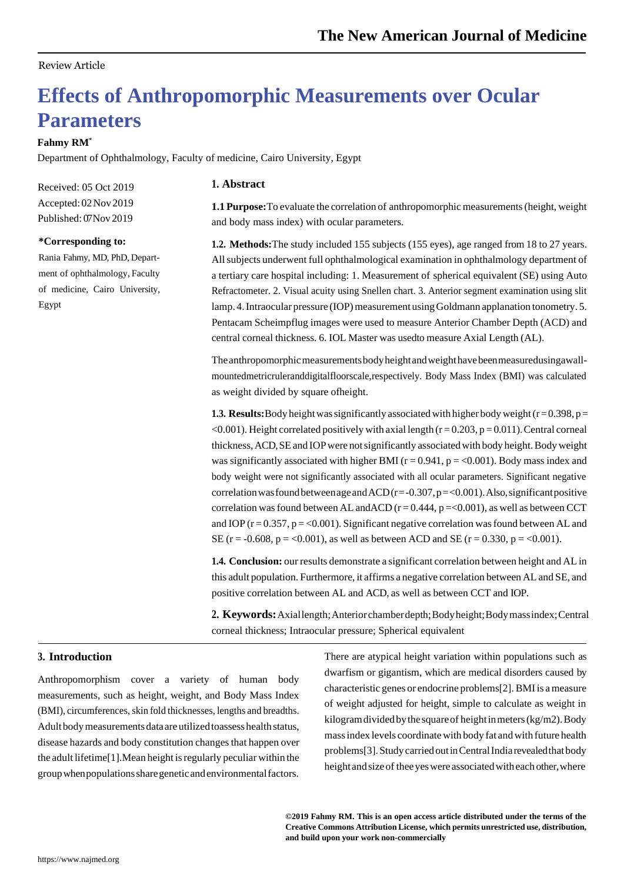## Review Article

# **Effects of Anthropomorphic Measurements over Ocular Parameters**

## **Fahmy RM\***

Department of Ophthalmology, Faculty of medicine, Cairo University, Egypt

Received: 05 Oct 2019 Accepted: 02Nov 2019 Published: 07Nov 2019

#### **\*Corresponding to:**

Rania Fahmy, MD, PhD, Department of ophthalmology, Faculty of medicine, Cairo University, Egypt

## **1. Abstract**

**1.1 Purpose:**To evaluate the correlation of anthropomorphic measurements(height, weight and body mass index) with ocular parameters.

**1.2. Methods:**The study included 155 subjects (155 eyes), age ranged from 18 to 27 years. Allsubjects underwent full ophthalmological examination in ophthalmology department of a tertiary care hospital including: 1. Measurement of spherical equivalent (SE) using Auto Refractometer. 2. Visual acuity using Snellen chart. 3. Anterior segment examination using slit lamp. 4. Intraocular pressure (IOP) measurement using Goldmann applanation tonometry. 5. Pentacam Scheimpflug images were used to measure Anterior Chamber Depth (ACD) and central corneal thickness. 6. IOL Master was usedto measure Axial Length (AL).

The anthropomorphic measurements body height and weight have been measuredusing awallmountedmetricruleranddigitalfloorscale,respectively. Body Mass Index (BMI) was calculated as weight divided by square ofheight.

**1.3. Results:** Body height was significantly associated with higher body weight  $(r=0.398, p=$  $<$ 0.001). Height correlated positively with axial length (r = 0.203, p = 0.011). Central corneal thickness, ACD, SE and IOP were not significantly associated with body height. Body weight was significantly associated with higher BMI ( $r = 0.941$ ,  $p = <0.001$ ). Body mass index and body weight were not significantly associated with all ocular parameters. Significant negative correlation was found between age and  $ACD(r=-0.307, p=<0.001)$ . Also, significant positive correlation was found between AL and ACD ( $r = 0.444$ ,  $p = 0.001$ ), as well as between CCT and IOP ( $r = 0.357$ ,  $p = <0.001$ ). Significant negative correlation was found between AL and SE ( $r = -0.608$ ,  $p = <0.001$ ), as well as between ACD and SE ( $r = 0.330$ ,  $p = <0.001$ ).

**1.4. Conclusion:** our results demonstrate a significant correlation between height and AL in this adult population. Furthermore, it affirms a negative correlation between AL and SE, and positive correlation between AL and ACD, as well as between CCT and IOP.

2. **Keywords:** Axial length; Anterior chamber depth; Body height; Body mass index; Central corneal thickness; Intraocular pressure; Spherical equivalent

## **3. Introduction**

Anthropomorphism cover a variety of human body measurements, such as height, weight, and Body Mass Index (BMI), circumferences, skin fold thicknesses, lengths and breadths. Adult body measurements data are utilized toassess health status, disease hazards and body constitution changes that happen over the adult lifetime[1].Mean height isregularly peculiar within the group when populations share genetic and environmental factors.

There are atypical height variation within populations such as dwarfism or gigantism, which are medical disorders caused by characteristic genes or endocrine problems[2]. BMI is a measure of weight adjusted for height, simple to calculate as weight in kilogramdividedbythe squareof heightinmeters(kg/m2).Body massindex levels coordinate with body fat andwith future health problems[3]. Study carried out in Central India revealed that body height and size of thee yes were associated with each other, where

**©2019 Fahmy RM. This is an open access article distributed under the terms of the Creative Commons Attribution License, which permits unrestricted use, distribution, and build upon your work non-commercially**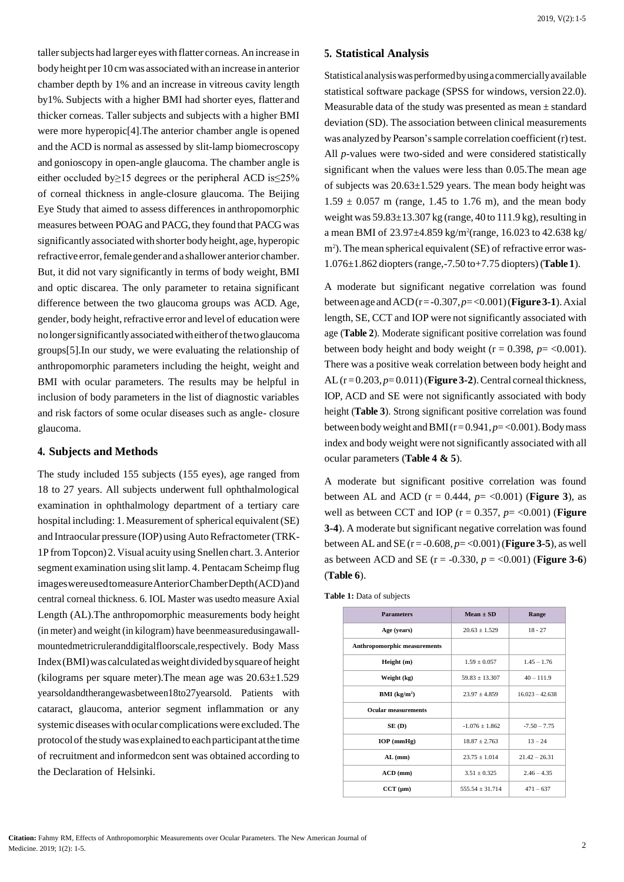taller subjects had larger eyes with flatter corneas. An increase in body height per 10 cm was associated with an increase in anterior chamber depth by 1% and an increase in vitreous cavity length by1%. Subjects with a higher BMI had shorter eyes, flatterand thicker corneas. Taller subjects and subjects with a higher BMI were more hyperopic[4].The anterior chamber angle is opened and the ACD is normal as assessed by slit-lamp biomecroscopy and gonioscopy in open-angle glaucoma. The chamber angle is either occluded by≥15 degrees or the peripheral ACD is≤25% of corneal thickness in angle-closure glaucoma. The Beijing Eye Study that aimed to assess differences in anthropomorphic measures between POAG and PACG, they found that PACG was significantly associated with shorter body height, age, hyperopic refractive error, female gender and a shallower anterior chamber. But, it did not vary significantly in terms of body weight, BMI and optic discarea. The only parameter to retaina significant difference between the two glaucoma groups was ACD. Age, gender, body height, refractive error and level of education were nolongersignificantlyassociatedwitheitherofthetwoglaucoma groups[5].In our study, we were evaluating the relationship of anthropomorphic parameters including the height, weight and BMI with ocular parameters. The results may be helpful in inclusion of body parameters in the list of diagnostic variables and risk factors of some ocular diseases such as angle- closure glaucoma.

## **4. Subjects and Methods**

The study included 155 subjects (155 eyes), age ranged from 18 to 27 years. All subjects underwent full ophthalmological examination in ophthalmology department of a tertiary care hospital including: 1.Measurement of spherical equivalent(SE) and Intraocular pressure (IOP) using Auto Refractometer (TRK-1P fromTopcon)2.Visual acuity using Snellen chart. 3.Anterior segment examination using slit lamp. 4. Pentacam Scheimp flug imageswereusedtomeasureAnteriorChamberDepth(ACD)and central corneal thickness. 6. IOL Master was usedto measure Axial Length (AL).The anthropomorphic measurements body height (in meter) and weight (in kilogram) have beenmeasuredusingawallmountedmetricruleranddigitalfloorscale,respectively. Body Mass Index(BMI)wascalculatedasweightdividedbysquareof height (kilograms per square meter).The mean age was 20.63±1.529 yearsoldandtherangewasbetween18to27yearsold. Patients with cataract, glaucoma, anterior segment inflammation or any systemic diseases with ocular complications were excluded. The protocolof the studywas explained to eachparticipant atthe time of recruitment and informedcon sent was obtained according to the Declaration of Helsinki.

## **5. Statistical Analysis**

Statisticalanalysiswasperformedbyusingacommerciallyavailable statistical software package (SPSS for windows, version 22.0). Measurable data of the study was presented as mean ± standard deviation (SD). The association between clinical measurements was analyzed by Pearson's sample correlation coefficient (r) test. All *p*-values were two-sided and were considered statistically significant when the values were less than 0.05.The mean age of subjects was 20.63±1.529 years. The mean body height was  $1.59 \pm 0.057$  m (range, 1.45 to 1.76 m), and the mean body weight was  $59.83\pm13.307$  kg (range, 40 to  $111.9$  kg), resulting in a mean BMI of  $23.97 \pm 4.859$  kg/m<sup>2</sup>(range, 16.023 to 42.638 kg/ m<sup>2</sup>). The mean spherical equivalent (SE) of refractive error was-1.076±1.862 diopters(range,-7.50 to+7.75 diopters)(**Table 1**).

A moderate but significant negative correlation was found between age and  $ACD(r = -0.307, p = <0.001)$  (**Figure 3-1**). Axial length, SE, CCT and IOP were not significantly associated with age (**Table 2**). Moderate significant positive correlation was found between body height and body weight ( $r = 0.398$ ,  $p = <0.001$ ). There was a positive weak correlation between body height and AL(r=0.203, *p*=0.011)(**Figure 3-2**).Central corneal thickness, IOP, ACD and SE were not significantly associated with body height (**Table 3**). Strong significant positive correlation was found between bodyweight andBMI(r=0.941,*p*=<0.001).Bodymass index and body weight were not significantly associated with all ocular parameters (**Table 4 & 5**).

A moderate but significant positive correlation was found between AL and ACD ( $r = 0.444$ ,  $p = \langle 0.001 \rangle$  (**Figure 3**), as well as between CCT and IOP ( $r = 0.357$ ,  $p = \langle 0.001 \rangle$ ) (**Figure 3-4**). A moderate but significant negative correlation was found between AL and SE (r = -0.608, *p*= <0.001)(**Figure 3-5**), as well as between ACD and SE  $(r = -0.330, p = <0.001)$  (**Figure 3-6**) (**Table 6**).

**Table 1:** Data of subjects

| <b>Parameters</b>            | $Mean + SD$       | Range             |  |
|------------------------------|-------------------|-------------------|--|
| Age (years)                  | $20.63 \pm 1.529$ | $18 - 27$         |  |
| Anthropomorphic measurements |                   |                   |  |
| Height (m)                   | $1.59 + 0.057$    | $1.45 - 1.76$     |  |
| Weight (kg)                  | $59.83 + 13.307$  | $40 - 111.9$      |  |
| BMI (kg/m <sup>2</sup> )     | $23.97 + 4.859$   | $16.023 - 42.638$ |  |
| <b>Ocular measurements</b>   |                   |                   |  |
| SE(D)                        | $-1.076 + 1.862$  | $-7.50 - 7.75$    |  |
| $IOP$ (mmHg)                 | $18.87 + 2.763$   | $13 - 24$         |  |
| $AL$ (mm)                    | $23.75 \pm 1.014$ | $21.42 - 26.31$   |  |
| $ACD$ (mm)                   | $3.51 + 0.325$    | $2.46 - 4.35$     |  |
| $CCT$ ( $\mu$ m)             | $555.54 + 31.714$ | $471 - 637$       |  |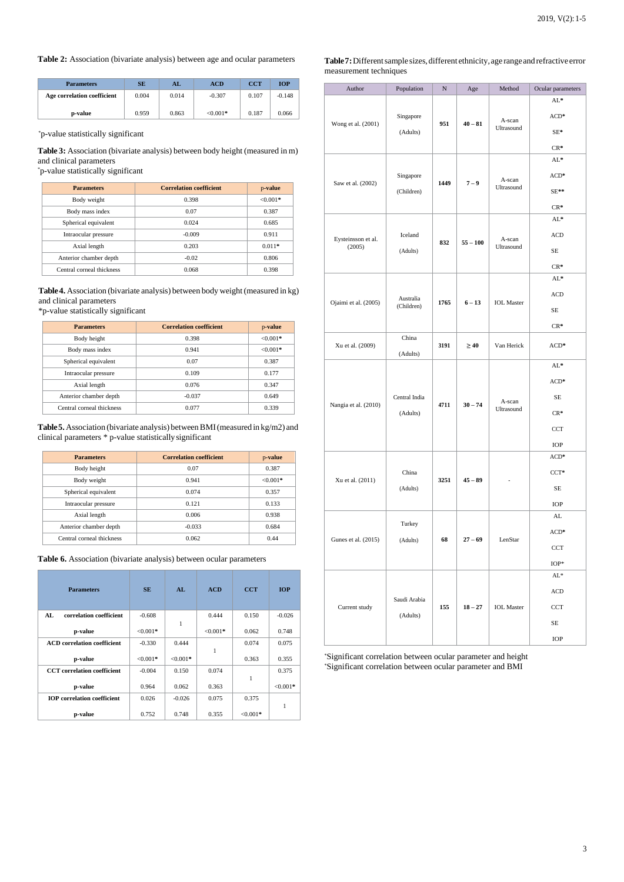#### **Table 2:** Association (bivariate analysis) between age and ocular parameters

| <b>Parameters</b>           | SE    | AL    | ACD        | <b>CCT</b> | <b>TOP</b> |
|-----------------------------|-------|-------|------------|------------|------------|
| Age correlation coefficient | 0.004 | 0.014 | $-0.307$   | 0.107      | $-0.148$   |
| p-value                     | 0.959 | 0.863 | $< 0.001*$ | 0.187      | 0.066      |

\*p-value statistically significant

**Table 3:** Association (bivariate analysis) between body height (measured in m) and clinical parameters

\*p-value statistically significant

| <b>Parameters</b>         | <b>Correlation coefficient</b> | p-value    |
|---------------------------|--------------------------------|------------|
| Body weight               | 0.398                          | $< 0.001*$ |
| Body mass index           | 0.07                           | 0.387      |
| Spherical equivalent      | 0.024                          | 0.685      |
| Intraocular pressure      | $-0.009$                       | 0.911      |
| Axial length              | 0.203                          | $0.011*$   |
| Anterior chamber depth    | $-0.02$                        | 0.806      |
| Central corneal thickness | 0.068                          | 0.398      |

**Table 4.** Association (bivariate analysis) between body weight(measured in kg) and clinical parameters

#### \*p-value statistically significant

| <b>Parameters</b>         | <b>Correlation coefficient</b> | p-value    |
|---------------------------|--------------------------------|------------|
| Body height               | 0.398                          | $< 0.001*$ |
| Body mass index           | 0.941                          | $< 0.001*$ |
| Spherical equivalent      | 0.07                           | 0.387      |
| Intraocular pressure      | 0.109                          | 0.177      |
| Axial length              | 0.076                          | 0.347      |
| Anterior chamber depth    | $-0.037$                       | 0.649      |
| Central corneal thickness | 0.077                          | 0.339      |

**Table5.**Association (bivariate analysis) betweenBMI(measured in kg/m2) and clinical parameters \* p-value statisticallysignificant

| <b>Parameters</b>         | <b>Correlation coefficient</b> | p-value    |
|---------------------------|--------------------------------|------------|
| Body height               | 0.07                           | 0.387      |
| Body weight               | 0.941                          | $< 0.001*$ |
| Spherical equivalent      | 0.074                          | 0.357      |
| Intraocular pressure      | 0.121                          | 0.133      |
| Axial length              | 0.006                          | 0.938      |
| Anterior chamber depth    | $-0.033$                       | 0.684      |
| Central corneal thickness | 0.062                          | 0.44       |

| <b>Table 6.</b> Association (bivariate analysis) between ocular parameters |  |  |  |
|----------------------------------------------------------------------------|--|--|--|
|----------------------------------------------------------------------------|--|--|--|

| <b>Parameters</b>                  | <b>SE</b>  | AL        | <b>ACD</b> | <b>CCT</b> | <b>IOP</b> |
|------------------------------------|------------|-----------|------------|------------|------------|
| correlation coefficient<br>AL.     | $-0.608$   | 1         | 0.444      | 0.150      | $-0.026$   |
| p-value                            | $< 0.001*$ |           | $< 0.001*$ | 0.062      | 0.748      |
| <b>ACD</b> correlation coefficient | $-0.330$   | 0.444     |            | 0.074      | 0.075      |
| p-value                            | $< 0.001*$ | $<0.001*$ | 1          | 0.363      | 0.355      |
| <b>CCT</b> correlation coefficient | $-0.004$   | 0.150     | 0.074      |            | 0.375      |
| p-value                            | 0.964      | 0.062     | 0.363      |            | $<0.001*$  |
| <b>IOP</b> correlation coefficient | 0.026      | $-0.026$  | 0.075      | 0.375      |            |
| p-value                            | 0.752      | 0.748     | 0.355      | $< 0.001*$ | 1          |

Table 7: Different sample sizes, different ethnicity, age range and refractive error measurement techniques

| Author               | Population       | N                 | Age                 | Method            | Ocular parameters |    |
|----------------------|------------------|-------------------|---------------------|-------------------|-------------------|----|
|                      |                  |                   |                     |                   | AL*               |    |
|                      | Singapore<br>951 |                   | A-scan<br>$40 - 81$ | $ACD*$            |                   |    |
| Wong et al. (2001)   | (Adults)         |                   | Ultrasound          |                   | SE*               |    |
|                      |                  |                   |                     |                   | $CR*$             |    |
|                      |                  |                   |                     |                   | AL*               |    |
| Saw et al. (2002)    | Singapore        |                   |                     | A-scan            | $ACD*$            |    |
|                      | (Children)       |                   | $7 - 9$<br>1449     | Ultrasound        | $SE**$            |    |
|                      |                  |                   |                     |                   | $CR*$             |    |
|                      |                  |                   |                     |                   | $AL*$             |    |
| Eysteinsson et al.   | Iceland          | 832               | $55 - 100$          | A-scan            | ACD               |    |
| (2005)               | (Adults)         |                   |                     | Ultrasound        | SE                |    |
|                      |                  |                   |                     |                   | $CR*$             |    |
|                      |                  |                   |                     |                   | $AL^*$            |    |
| Ojaimi et al. (2005) | Australia        | $6 - 13$          |                     | <b>ACD</b>        |                   |    |
|                      | (Children)       | 1765              |                     | <b>IOL</b> Master | SE                |    |
|                      |                  |                   |                     |                   | $CR*$             |    |
| Xu et al. (2009)     | China            | 3191<br>$\geq 40$ |                     | Van Herick        | $ACD*$            |    |
|                      | (Adults)         |                   |                     |                   |                   |    |
|                      |                  |                   |                     |                   | AL*               |    |
|                      |                  |                   |                     |                   | $ACD*$            |    |
| Nangia et al. (2010) | Central India    |                   |                     | $30 - 74$<br>4711 | A-scan            | SE |
|                      | (Adults)         |                   |                     | Ultrasound        | $CR*$             |    |
|                      |                  |                   |                     |                   | CCT               |    |
|                      |                  |                   |                     |                   | IOP               |    |
|                      |                  |                   |                     |                   | $ACD*$            |    |
|                      | China            | 3251              | $45 - 89$           |                   | $CCT*$            |    |
| Xu et al. (2011)     | (Adults)         |                   |                     |                   | SE                |    |
|                      |                  |                   |                     |                   | IOP               |    |
|                      | Turkey           |                   |                     | LenStar           | AL                |    |
| Gunes et al. (2015)  |                  |                   |                     |                   | $ACD*$            |    |
|                      | (Adults)         | 68                | $27 - 69$           |                   | CCT               |    |
|                      |                  |                   |                     |                   | $IOP*$            |    |
|                      |                  |                   |                     |                   | ${\rm AL}^*$      |    |
| Current study        |                  |                   |                     |                   | ACD               |    |
|                      | Saudi Arabia     | 155               | $18 - 27$           | <b>IOL</b> Master | CCT               |    |
|                      | (Adults)         |                   |                     |                   | SE                |    |
|                      |                  |                   |                     |                   | IOP               |    |

\*Significant correlation between ocular parameter and height \*Significant correlation between ocular parameter and BMI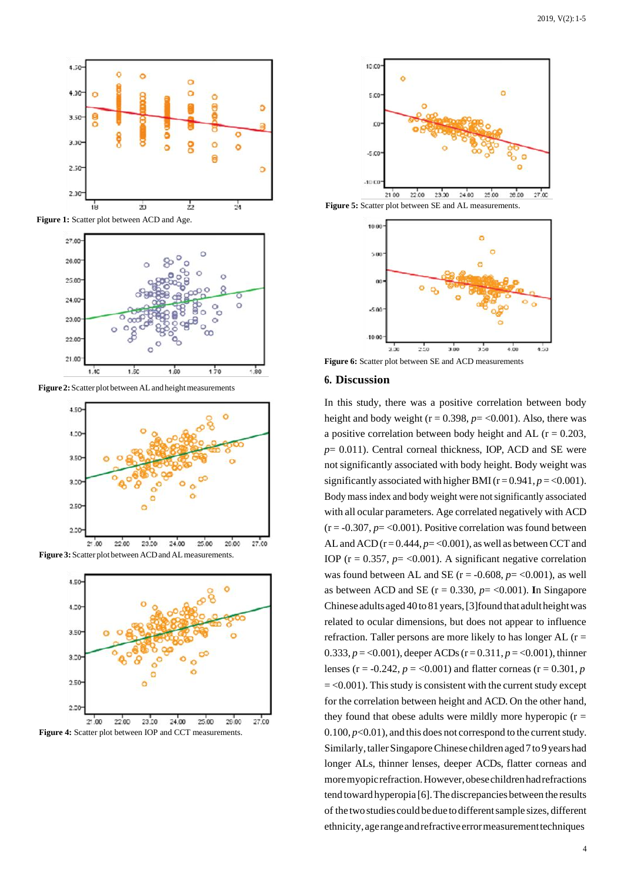

**Figure 1:** Scatter plot between ACD and Age.



**Figure 2:** Scatter plot between AL and height measurements











Figure 5: Scatter plot between SE and AL measurements.



**Figure 6:** Scatter plot between SE and ACD measurements

#### **6. Discussion**

In this study, there was a positive correlation between body height and body weight ( $r = 0.398$ ,  $p = <0.001$ ). Also, there was a positive correlation between body height and AL ( $r = 0.203$ , *p*= 0.011). Central corneal thickness, IOP, ACD and SE were not significantly associated with body height. Body weight was significantly associated with higher BMI  $(r = 0.941, p = 0.001)$ . Body massindex and body weight were notsignificantly associated with all ocular parameters. Age correlated negatively with ACD  $(r = -0.307, p = <0.001)$ . Positive correlation was found between AL and ACD  $(r = 0.444, p = 0.001)$ , as well as between CCT and IOP ( $r = 0.357$ ,  $p = <0.001$ ). A significant negative correlation was found between AL and SE ( $r = -0.608$ ,  $p = <0.001$ ), as well as between ACD and SE  $(r = 0.330, p = 0.001)$ . In Singapore Chinese adults aged  $40$  to  $81$  years, [3] found that adult height was related to ocular dimensions, but does not appear to influence refraction. Taller persons are more likely to has longer AL  $(r =$ 0.333,  $p = 0.001$ , deeper ACDs (r = 0.311,  $p = 0.001$ ), thinner lenses ( $r = -0.242$ ,  $p = <0.001$ ) and flatter corneas ( $r = 0.301$ ,  $p$ )  $=$  <0.001). This study is consistent with the current study except for the correlation between height and ACD. On the other hand, they found that obese adults were mildly more hyperopic  $(r =$  $0.100, p<0.01$ , and this does not correspond to the current study. Similarly, taller Singapore Chinese children aged 7 to 9 years had longer ALs, thinner lenses, deeper ACDs, flatter corneas and moremyopicrefraction.However,obesechildrenhadrefractions tend toward hyperopia [6]. The discrepancies between the results of the twostudies could bedue to differentsample sizes, different ethnicity,agerangeandrefractiveerrormeasurementtechniques